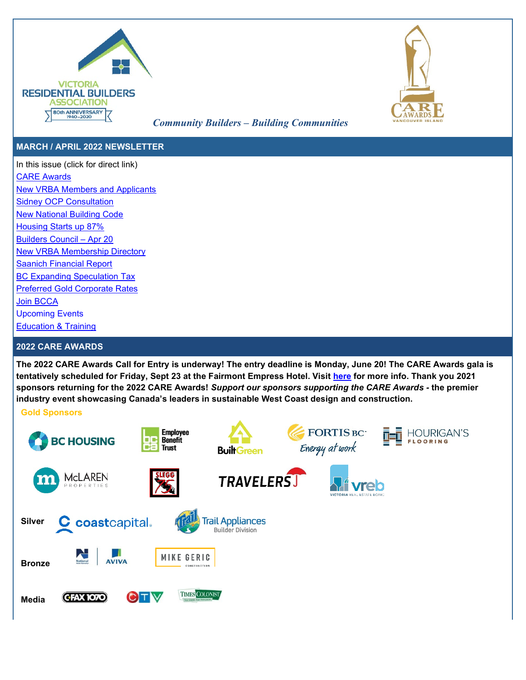



# *Community Builders – Building Communities*

# **MARCH / APRIL 2022 NEWSLETTER**

In this issue (click for direct link) [CARE Awards](#page-0-0) [New VRBA Members and Applicants](#page-1-0) [Sidney OCP Consultation](#page-1-1) [New National Building Code](#page-1-2) [Housing Starts up 87%](#page-1-3) [Builders Council – Apr 20](#page-1-4) [New VRBA Membership Directory](#page-1-5) [Saanich Financial Report](#page-1-6) [BC Expanding Speculation Tax](#page-1-7) [Preferred Gold Corporate Rates](#page-1-8) [Join BCCA](#page-2-0)  [Upcoming Events](#page-2-1) [Education & Training](#page-2-2)

# <span id="page-0-0"></span>**2022 CARE AWARDS**

**The 2022 CARE Awards Call for Entry is underway! The entry deadline is Monday, June 20! The CARE Awards gala is tentatively scheduled for Friday, Sept 23 at the Fairmont Empress Hotel. Visit [here](https://careawards.ca/2022-care-awards/) for more info. Thank you 2021 sponsors returning for the 2022 CARE Awards!** *Support our sponsors supporting the CARE Awards -* **the premier industry event showcasing Canada's leaders in sustainable West Coast design and construction.** 

## **Gold Sponsors**

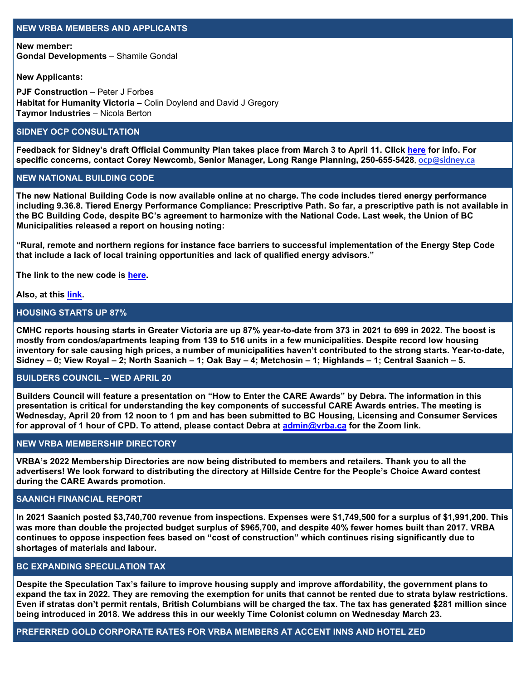### <span id="page-1-0"></span>**NEW VRBA MEMBERS AND APPLICANTS**

**New member: Gondal Developments** – Shamile Gondal

**New Applicants:**

**PJF Construction – Peter J Forbes Habitat for Humanity Victoria –** Colin Doylend and David J Gregory **Taymor Industries** – Nicola Berton

## <span id="page-1-1"></span>**SIDNEY OCP CONSULTATION**

**Feedback for Sidney's draft Official Community Plan takes place from March 3 to April 11. Click [here](http://www.sidney.ca/Business/Projects___Initiatives/Official_Community_Plan_Update.htm) for info. For specific concerns, contact Corey Newcomb, Senior Manager, Long Range Planning, 250-655-5428**, **[ocp@sidney.ca](mailto:ocp@sidney.ca)**

#### <span id="page-1-2"></span>**NEW NATIONAL BUILDING CODE**

**The new National Building Code is now available online at no charge. The code includes tiered energy performance including 9.36.8. Tiered Energy Performance Compliance: Prescriptive Path. So far, a prescriptive path is not available in the BC Building Code, despite BC's agreement to harmonize with the National Code. Last week, the Union of BC Municipalities released a report on housing noting:** 

**"Rural, remote and northern regions for instance face barriers to successful implementation of the Energy Step Code that include a lack of local training opportunities and lack of qualified energy advisors."**

**The link to the new code is [here.](https://nrc-publications.canada.ca/eng/view/ft/?id=515340b5-f4e0-4798-be69-692e4ec423e8)** 

#### **Also, at this [link.](https://nrc-publications.canada.ca/eng/view/object/?id=515340b5-f4e0-4798-be69-692e4ec423e8)**

# <span id="page-1-3"></span>**HOUSING STARTS UP 87%**

**CMHC reports [housing](https://www03.cmhc-schl.gc.ca/hmip-pimh/en#Profile/1/1/Canada) starts in Greater Victoria are up 87% year-to-date from 373 in 2021 to 699 in 2022. The boost is mostly from condos/apartments leaping from 139 to 516 units in a few municipalities. Despite record low housing inventory for sale causing high prices, a number of municipalities haven't contributed to the strong starts. Year-to-date, Sidney – 0; View Royal – 2; North Saanich – 1; Oak Bay – 4; Metchosin – 1; Highlands – 1; Central Saanich – 5.**

# <span id="page-1-4"></span>**BUILDERS COUNCIL – WED APRIL 20**

**Builders Council will feature a presentation on "How to Enter the CARE Awards" by Debra. The information in this presentation is critical for understanding the key components of successful CARE Awards entries. The meeting is Wednesday, April 20 from 12 noon to 1 pm and has been submitted to BC Housing, Licensing and Consumer Services for approval of 1 hour of CPD. To attend, please contact Debra at [admin@vrba.ca](mailto:admin@vrba.ca) for the Zoom link.**

#### <span id="page-1-5"></span>**NEW VRBA MEMBERSHIP DIRECTORY**

**VRBA's 2022 Membership Directories are now being distributed to members and retailers. Thank you to all the advertisers! We look forward to distributing the directory at Hillside Centre for the People's Choice Award contest during the CARE Awards promotion.** 

#### <span id="page-1-6"></span>**SAANICH FINANCIAL REPORT**

**In 2021 Saanich posted \$3,740,700 revenue from inspections. Expenses were \$1,749,500 for a surplus of \$1,991,200. This was more than double the projected budget surplus of \$965,700, and despite 40% fewer homes built than 2017. VRBA continues to oppose inspection fees based on "cost of construction" which continues rising significantly due to shortages of materials and labour.** 

# <span id="page-1-7"></span>**BC EXPANDING SPECULATION TAX**

**Despite the Speculation Tax's failure to improve housing supply and improve affordability, the government plans to expand the tax in 2022. They are removing the exemption for units that cannot be rented due to strata bylaw restrictions. Even if stratas don't permit rentals, British Columbians will be charged the tax. The tax has generated \$281 million since being introduced in 2018. We address this in our weekly Time Colonist column on Wednesday March 23.** 

<span id="page-1-8"></span>**PREFERRED GOLD CORPORATE RATES FOR VRBA MEMBERS AT ACCENT INNS AND HOTEL ZED**